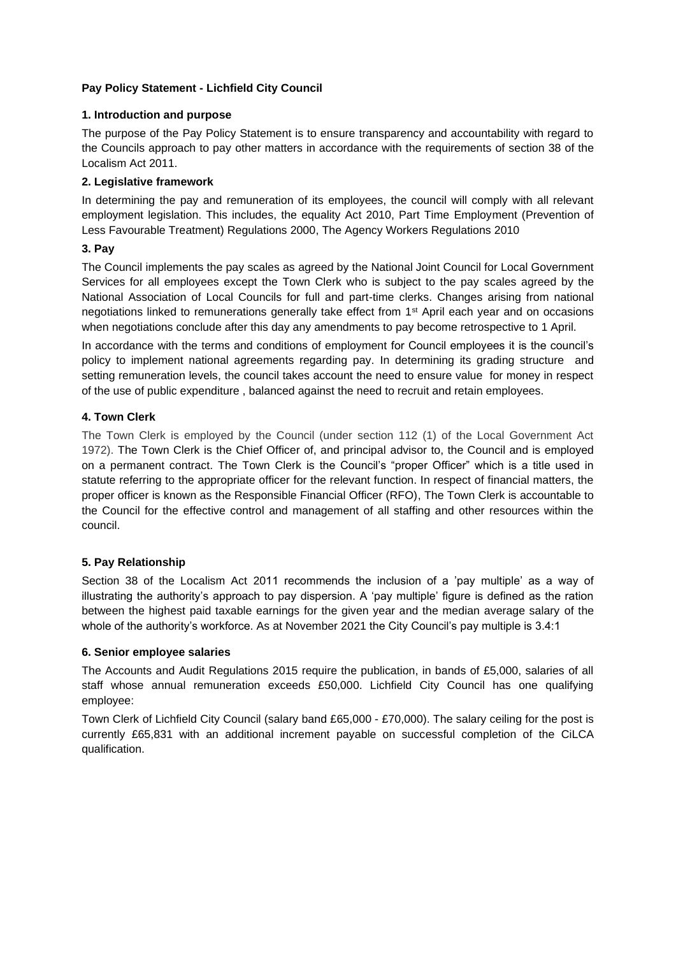## **Pay Policy Statement - Lichfield City Council**

### **1. Introduction and purpose**

The purpose of the Pay Policy Statement is to ensure transparency and accountability with regard to the Councils approach to pay other matters in accordance with the requirements of section 38 of the Localism Act 2011.

### **2. Legislative framework**

In determining the pay and remuneration of its employees, the council will comply with all relevant employment legislation. This includes, the equality Act 2010, Part Time Employment (Prevention of Less Favourable Treatment) Regulations 2000, The Agency Workers Regulations 2010

## **3. Pay**

The Council implements the pay scales as agreed by the National Joint Council for Local Government Services for all employees except the Town Clerk who is subject to the pay scales agreed by the National Association of Local Councils for full and part-time clerks. Changes arising from national negotiations linked to remunerations generally take effect from 1st April each year and on occasions when negotiations conclude after this day any amendments to pay become retrospective to 1 April.

In accordance with the terms and conditions of employment for Council employees it is the council's policy to implement national agreements regarding pay. In determining its grading structure and setting remuneration levels, the council takes account the need to ensure value for money in respect of the use of public expenditure , balanced against the need to recruit and retain employees.

## **4. Town Clerk**

The Town Clerk is employed by the Council (under section 112 (1) of the Local Government Act 1972). The Town Clerk is the Chief Officer of, and principal advisor to, the Council and is employed on a permanent contract. The Town Clerk is the Council's "proper Officer" which is a title used in statute referring to the appropriate officer for the relevant function. In respect of financial matters, the proper officer is known as the Responsible Financial Officer (RFO), The Town Clerk is accountable to the Council for the effective control and management of all staffing and other resources within the council.

### **5. Pay Relationship**

Section 38 of the Localism Act 2011 recommends the inclusion of a 'pay multiple' as a way of illustrating the authority's approach to pay dispersion. A 'pay multiple' figure is defined as the ration between the highest paid taxable earnings for the given year and the median average salary of the whole of the authority's workforce. As at November 2021 the City Council's pay multiple is 3.4:1

### **6. Senior employee salaries**

The Accounts and Audit Regulations 2015 require the publication, in bands of £5,000, salaries of all staff whose annual remuneration exceeds £50,000. Lichfield City Council has one qualifying employee:

Town Clerk of Lichfield City Council (salary band £65,000 - £70,000). The salary ceiling for the post is currently £65,831 with an additional increment payable on successful completion of the CiLCA qualification.